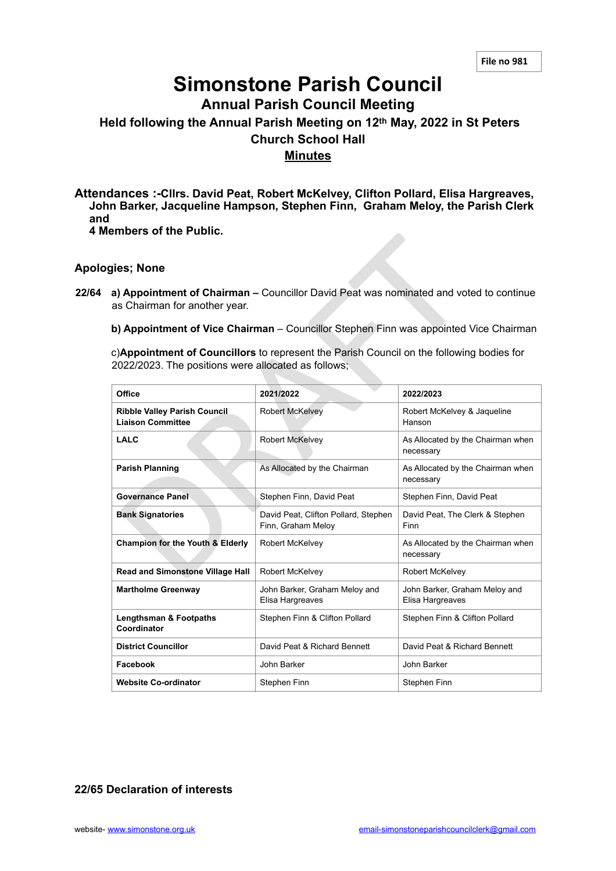# **Simonstone Parish Council**

**Annual Parish Council Meeting**

## **Held following the Annual Parish Meeting on 12th May, 2022 in St Peters Church School Hall Minutes**

**Attendances :-Cllrs. David Peat, Robert McKelvey, Clifton Pollard, Elisa Hargreaves, John Barker, Jacqueline Hampson, Stephen Finn, Graham Meloy, the Parish Clerk and 4 Members of the Public.**

#### **Apologies; None**

- **22/64 a) Appointment of Chairman** Councillor David Peat was nominated and voted to continue as Chairman for another year.
	- **b) Appointment of Vice Chairman**  Councillor Stephen Finn was appointed Vice Chairman

| CHIDGIS VI LIIG F UDIIL                                                                                                                         |                                                            |                                                   |  |
|-------------------------------------------------------------------------------------------------------------------------------------------------|------------------------------------------------------------|---------------------------------------------------|--|
| gies; None                                                                                                                                      |                                                            |                                                   |  |
| a) Appointment of Chairman – Councillor David Peat was nominated and voted to continue<br>as Chairman for another year.                         |                                                            |                                                   |  |
| b) Appointment of Vice Chairman - Councillor Stephen Finn was appointed Vice Chairman                                                           |                                                            |                                                   |  |
| c)Appointment of Councillors to represent the Parish Council on the following bodies for<br>2022/2023. The positions were allocated as follows; |                                                            |                                                   |  |
| Office                                                                                                                                          | 2021/2022                                                  | 2022/2023                                         |  |
| <b>Ribble Valley Parish Council</b><br><b>Liaison Committee</b>                                                                                 | <b>Robert McKelvey</b>                                     | Robert McKelvey & Jaqueline<br>Hanson             |  |
| <b>LALC</b>                                                                                                                                     | Robert McKelvey                                            | As Allocated by the Chairman when<br>necessary    |  |
| <b>Parish Planning</b>                                                                                                                          | As Allocated by the Chairman                               | As Allocated by the Chairman when<br>necessary    |  |
| <b>Governance Panel</b>                                                                                                                         | Stephen Finn, David Peat                                   | Stephen Finn, David Peat                          |  |
| <b>Bank Signatories</b>                                                                                                                         | David Peat, Clifton Pollard, Stephen<br>Finn, Graham Meloy | David Peat, The Clerk & Stephen<br>Finn           |  |
| <b>Champion for the Youth &amp; Elderly</b>                                                                                                     | <b>Robert McKelvey</b>                                     | As Allocated by the Chairman when<br>necessary    |  |
| <b>Read and Simonstone Village Hall</b>                                                                                                         | <b>Robert McKelvey</b>                                     | <b>Robert McKelvey</b>                            |  |
| <b>Martholme Greenway</b>                                                                                                                       | John Barker, Graham Meloy and<br>Elisa Hargreaves          | John Barker, Graham Meloy and<br>Elisa Hargreaves |  |
| <b>Lengthsman &amp; Footpaths</b><br>Coordinator                                                                                                | Stephen Finn & Clifton Pollard                             | Stephen Finn & Clifton Pollard                    |  |
| <b>District Councillor</b>                                                                                                                      | David Peat & Richard Bennett                               | David Peat & Richard Bennett                      |  |
| Facebook                                                                                                                                        | John Barker                                                | John Barker                                       |  |
| <b>Website Co-ordinator</b>                                                                                                                     | Stephen Finn                                               | Stephen Finn                                      |  |

**22/65 Declaration of interests**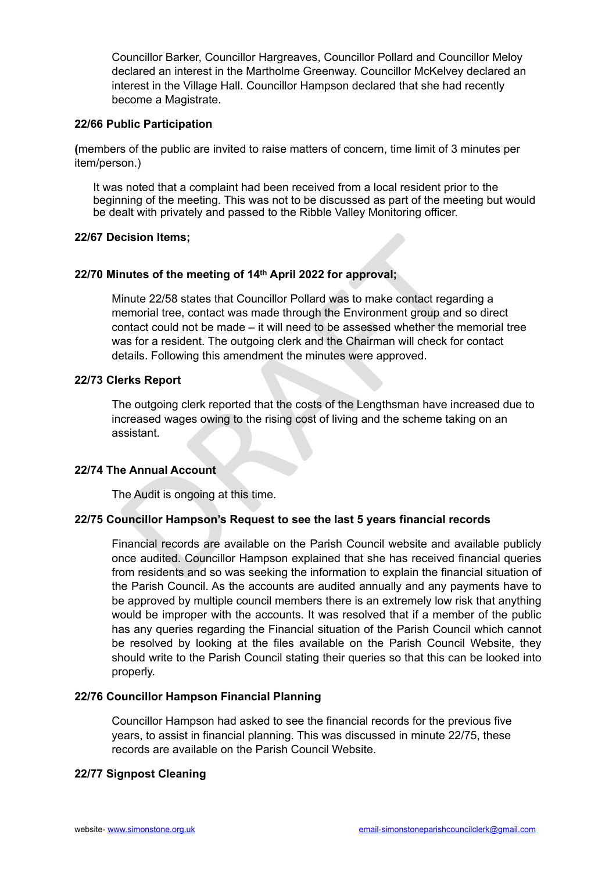Councillor Barker, Councillor Hargreaves, Councillor Pollard and Councillor Meloy declared an interest in the Martholme Greenway. Councillor McKelvey declared an interest in the Village Hall. Councillor Hampson declared that she had recently become a Magistrate.

#### **22/66 Public Participation**

**(**members of the public are invited to raise matters of concern, time limit of 3 minutes per item/person.)

It was noted that a complaint had been received from a local resident prior to the beginning of the meeting. This was not to be discussed as part of the meeting but would be dealt with privately and passed to the Ribble Valley Monitoring officer.

#### **22/67 Decision Items;**

## **22/70 Minutes of the meeting of 14th April 2022 for approval;**

icision Items;<br>
nutes of the meeting of 14<sup>th</sup> April 2022 for approval;<br>
linute 22/58 states that Councillor Pollard was to make contact regard<br>
elemorial tree, contact was made through the Environment group and<br>
ontact co Minute 22/58 states that Councillor Pollard was to make contact regarding a memorial tree, contact was made through the Environment group and so direct contact could not be made – it will need to be assessed whether the memorial tree was for a resident. The outgoing clerk and the Chairman will check for contact details. Following this amendment the minutes were approved.

#### **22/73 Clerks Report**

The outgoing clerk reported that the costs of the Lengthsman have increased due to increased wages owing to the rising cost of living and the scheme taking on an assistant.

## **22/74 The Annual Account**

The Audit is ongoing at this time.

## **22/75 Councillor Hampson's Request to see the last 5 years financial records**

Financial records are available on the Parish Council website and available publicly once audited. Councillor Hampson explained that she has received financial queries from residents and so was seeking the information to explain the financial situation of the Parish Council. As the accounts are audited annually and any payments have to be approved by multiple council members there is an extremely low risk that anything would be improper with the accounts. It was resolved that if a member of the public has any queries regarding the Financial situation of the Parish Council which cannot be resolved by looking at the files available on the Parish Council Website, they should write to the Parish Council stating their queries so that this can be looked into properly.

#### **22/76 Councillor Hampson Financial Planning**

Councillor Hampson had asked to see the financial records for the previous five years, to assist in financial planning. This was discussed in minute 22/75, these records are available on the Parish Council Website.

## **22/77 Signpost Cleaning**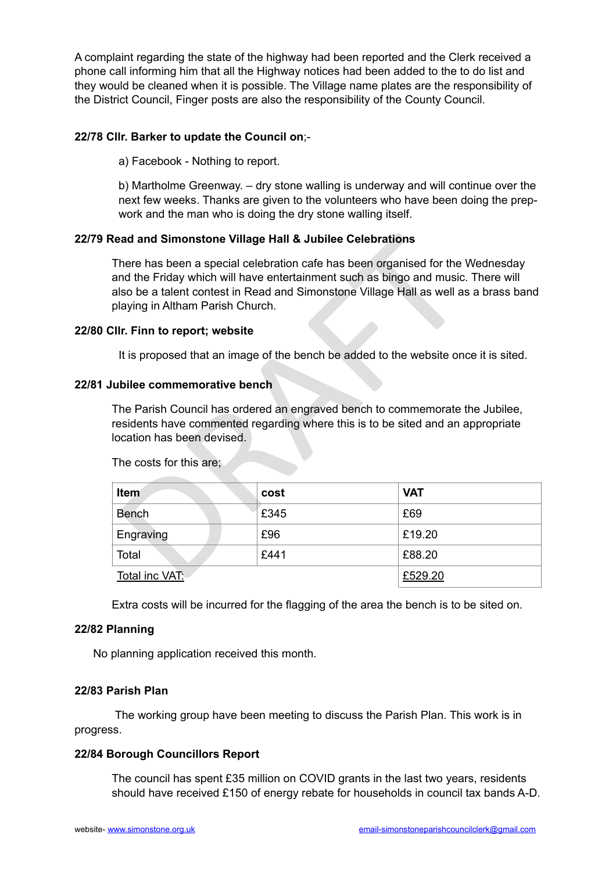A complaint regarding the state of the highway had been reported and the Clerk received a phone call informing him that all the Highway notices had been added to the to do list and they would be cleaned when it is possible. The Village name plates are the responsibility of the District Council, Finger posts are also the responsibility of the County Council.

## **22/78 Cllr. Barker to update the Council on**;-

a) Facebook - Nothing to report.

b) Martholme Greenway. – dry stone walling is underway and will continue over the next few weeks. Thanks are given to the volunteers who have been doing the prepwork and the man who is doing the dry stone walling itself.

## **22/79 Read and Simonstone Village Hall & Jubilee Celebrations**

## **22/80 Cllr. Finn to report; website**

#### **22/81 Jubilee commemorative bench**

| Read and Simonstone Village Hall & Jubilee Celebrations                                                                                                                                                                                                                                        |      |            |  |  |
|------------------------------------------------------------------------------------------------------------------------------------------------------------------------------------------------------------------------------------------------------------------------------------------------|------|------------|--|--|
| There has been a special celebration cafe has been organised for the Wednesday<br>and the Friday which will have entertainment such as bingo and music. There will<br>also be a talent contest in Read and Simonstone Village Hall as well as a brass band<br>playing in Altham Parish Church. |      |            |  |  |
| CIIr. Finn to report; website                                                                                                                                                                                                                                                                  |      |            |  |  |
| It is proposed that an image of the bench be added to the website once it is sited.                                                                                                                                                                                                            |      |            |  |  |
| Jubilee commemorative bench                                                                                                                                                                                                                                                                    |      |            |  |  |
| The Parish Council has ordered an engraved bench to commemorate the Jubilee,<br>residents have commented regarding where this is to be sited and an appropriate<br>location has been devised.<br>The costs for this are;                                                                       |      |            |  |  |
|                                                                                                                                                                                                                                                                                                |      |            |  |  |
| Item                                                                                                                                                                                                                                                                                           | cost | <b>VAT</b> |  |  |
| <b>Bench</b>                                                                                                                                                                                                                                                                                   | £345 | £69        |  |  |
| Engraving                                                                                                                                                                                                                                                                                      | £96  | £19.20     |  |  |
| Total                                                                                                                                                                                                                                                                                          | £441 | £88.20     |  |  |
| <u>Total inc VAT:</u>                                                                                                                                                                                                                                                                          |      | £529.20    |  |  |

Extra costs will be incurred for the flagging of the area the bench is to be sited on.

#### **22/82 Planning**

No planning application received this month.

## **22/83 Parish Plan**

The working group have been meeting to discuss the Parish Plan. This work is in progress.

## **22/84 Borough Councillors Report**

The council has spent £35 million on COVID grants in the last two years, residents should have received £150 of energy rebate for households in council tax bands A-D.